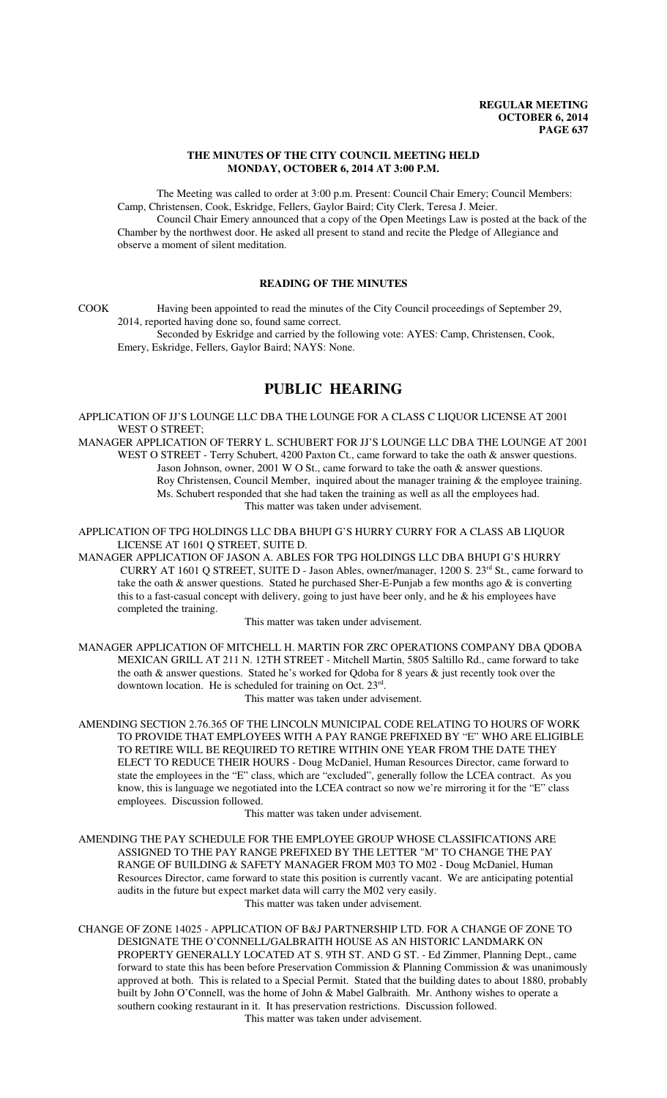### **THE MINUTES OF THE CITY COUNCIL MEETING HELD MONDAY, OCTOBER 6, 2014 AT 3:00 P.M.**

The Meeting was called to order at 3:00 p.m. Present: Council Chair Emery; Council Members: Camp, Christensen, Cook, Eskridge, Fellers, Gaylor Baird; City Clerk, Teresa J. Meier. Council Chair Emery announced that a copy of the Open Meetings Law is posted at the back of the

Chamber by the northwest door. He asked all present to stand and recite the Pledge of Allegiance and observe a moment of silent meditation.

## **READING OF THE MINUTES**

COOK Having been appointed to read the minutes of the City Council proceedings of September 29, 2014, reported having done so, found same correct.

Seconded by Eskridge and carried by the following vote: AYES: Camp, Christensen, Cook, Emery, Eskridge, Fellers, Gaylor Baird; NAYS: None.

# **PUBLIC HEARING**

APPLICATION OF JJ'S LOUNGE LLC DBA THE LOUNGE FOR A CLASS C LIQUOR LICENSE AT 2001 WEST O STREET;

MANAGER APPLICATION OF TERRY L. SCHUBERT FOR JJ'S LOUNGE LLC DBA THE LOUNGE AT 2001 WEST O STREET - Terry Schubert, 4200 Paxton Ct., came forward to take the oath & answer questions. Jason Johnson, owner, 2001 W O St., came forward to take the oath & answer questions. Roy Christensen, Council Member, inquired about the manager training & the employee training. Ms. Schubert responded that she had taken the training as well as all the employees had. This matter was taken under advisement.

APPLICATION OF TPG HOLDINGS LLC DBA BHUPI G'S HURRY CURRY FOR A CLASS AB LIQUOR LICENSE AT 1601 Q STREET, SUITE D.

MANAGER APPLICATION OF JASON A. ABLES FOR TPG HOLDINGS LLC DBA BHUPI G'S HURRY CURRY AT 1601 Q STREET, SUITE D - Jason Ables, owner/manager, 1200 S. 23rd St., came forward to take the oath  $\&$  answer questions. Stated he purchased Sher-E-Punjab a few months ago  $\&$  is converting this to a fast-casual concept with delivery, going to just have beer only, and he  $\&$  his employees have completed the training.

This matter was taken under advisement.

MANAGER APPLICATION OF MITCHELL H. MARTIN FOR ZRC OPERATIONS COMPANY DBA QDOBA MEXICAN GRILL AT 211 N. 12TH STREET - Mitchell Martin, 5805 Saltillo Rd., came forward to take the oath & answer questions. Stated he's worked for Qdoba for 8 years & just recently took over the downtown location. He is scheduled for training on Oct. 23rd.

This matter was taken under advisement.

AMENDING SECTION 2.76.365 OF THE LINCOLN MUNICIPAL CODE RELATING TO HOURS OF WORK TO PROVIDE THAT EMPLOYEES WITH A PAY RANGE PREFIXED BY "E" WHO ARE ELIGIBLE TO RETIRE WILL BE REQUIRED TO RETIRE WITHIN ONE YEAR FROM THE DATE THEY ELECT TO REDUCE THEIR HOURS - Doug McDaniel, Human Resources Director, came forward to state the employees in the "E" class, which are "excluded", generally follow the LCEA contract. As you know, this is language we negotiated into the LCEA contract so now we're mirroring it for the "E" class employees. Discussion followed.

This matter was taken under advisement.

AMENDING THE PAY SCHEDULE FOR THE EMPLOYEE GROUP WHOSE CLASSIFICATIONS ARE ASSIGNED TO THE PAY RANGE PREFIXED BY THE LETTER "M" TO CHANGE THE PAY RANGE OF BUILDING & SAFETY MANAGER FROM M03 TO M02 - Doug McDaniel, Human Resources Director, came forward to state this position is currently vacant. We are anticipating potential audits in the future but expect market data will carry the M02 very easily. This matter was taken under advisement.

CHANGE OF ZONE 14025 - APPLICATION OF B&J PARTNERSHIP LTD. FOR A CHANGE OF ZONE TO DESIGNATE THE O'CONNELL/GALBRAITH HOUSE AS AN HISTORIC LANDMARK ON PROPERTY GENERALLY LOCATED AT S. 9TH ST. AND G ST. - Ed Zimmer, Planning Dept., came forward to state this has been before Preservation Commission & Planning Commission & was unanimously approved at both. This is related to a Special Permit. Stated that the building dates to about 1880, probably built by John O'Connell, was the home of John & Mabel Galbraith. Mr. Anthony wishes to operate a southern cooking restaurant in it. It has preservation restrictions. Discussion followed. This matter was taken under advisement.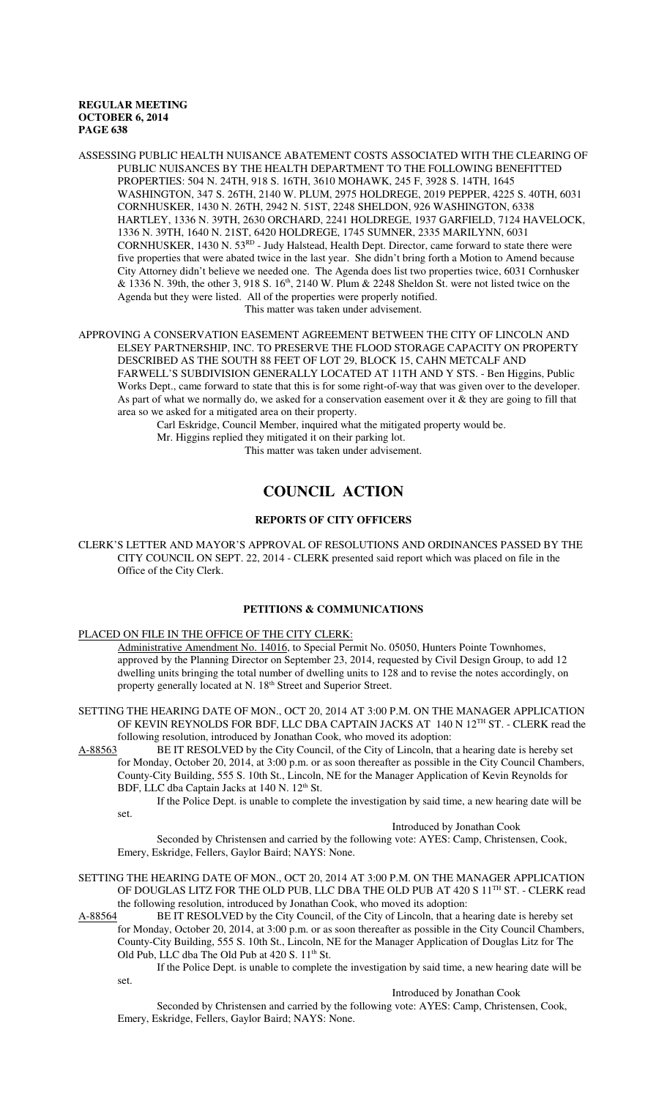ASSESSING PUBLIC HEALTH NUISANCE ABATEMENT COSTS ASSOCIATED WITH THE CLEARING OF PUBLIC NUISANCES BY THE HEALTH DEPARTMENT TO THE FOLLOWING BENEFITTED PROPERTIES: 504 N. 24TH, 918 S. 16TH, 3610 MOHAWK, 245 F, 3928 S. 14TH, 1645 WASHINGTON, 347 S. 26TH, 2140 W. PLUM, 2975 HOLDREGE, 2019 PEPPER, 4225 S. 40TH, 6031 CORNHUSKER, 1430 N. 26TH, 2942 N. 51ST, 2248 SHELDON, 926 WASHINGTON, 6338 HARTLEY, 1336 N. 39TH, 2630 ORCHARD, 2241 HOLDREGE, 1937 GARFIELD, 7124 HAVELOCK, 1336 N. 39TH, 1640 N. 21ST, 6420 HOLDREGE, 1745 SUMNER, 2335 MARILYNN, 6031 CORNHUSKER, 1430 N.  $53<sup>RD</sup>$  - Judy Halstead, Health Dept. Director, came forward to state there were five properties that were abated twice in the last year. She didn't bring forth a Motion to Amend because City Attorney didn't believe we needed one. The Agenda does list two properties twice, 6031 Cornhusker & 1336 N. 39th, the other 3, 918 S.  $16<sup>th</sup>$ , 2140 W. Plum & 2248 Sheldon St. were not listed twice on the Agenda but they were listed. All of the properties were properly notified. This matter was taken under advisement.

APPROVING A CONSERVATION EASEMENT AGREEMENT BETWEEN THE CITY OF LINCOLN AND ELSEY PARTNERSHIP, INC. TO PRESERVE THE FLOOD STORAGE CAPACITY ON PROPERTY DESCRIBED AS THE SOUTH 88 FEET OF LOT 29, BLOCK 15, CAHN METCALF AND FARWELL'S SUBDIVISION GENERALLY LOCATED AT 11TH AND Y STS. - Ben Higgins, Public Works Dept., came forward to state that this is for some right-of-way that was given over to the developer. As part of what we normally do, we asked for a conservation easement over it  $\&$  they are going to fill that area so we asked for a mitigated area on their property.

Carl Eskridge, Council Member, inquired what the mitigated property would be.

Mr. Higgins replied they mitigated it on their parking lot.

This matter was taken under advisement.

# **COUNCIL ACTION**

### **REPORTS OF CITY OFFICERS**

CLERK'S LETTER AND MAYOR'S APPROVAL OF RESOLUTIONS AND ORDINANCES PASSED BY THE CITY COUNCIL ON SEPT. 22, 2014 - CLERK presented said report which was placed on file in the Office of the City Clerk.

### **PETITIONS & COMMUNICATIONS**

#### PLACED ON FILE IN THE OFFICE OF THE CITY CLERK:

Administrative Amendment No. 14016, to Special Permit No. 05050, Hunters Pointe Townhomes, approved by the Planning Director on September 23, 2014, requested by Civil Design Group, to add 12 dwelling units bringing the total number of dwelling units to 128 and to revise the notes accordingly, on property generally located at N. 18<sup>th</sup> Street and Superior Street.

SETTING THE HEARING DATE OF MON., OCT 20, 2014 AT 3:00 P.M. ON THE MANAGER APPLICATION OF KEVIN REYNOLDS FOR BDF, LLC DBA CAPTAIN JACKS AT 140 N 12<sup>TH</sup> ST. - CLERK read the following resolution, introduced by Jonathan Cook, who moved its adoption:

- A-88563 BE IT RESOLVED by the City Council, of the City of Lincoln, that a hearing date is hereby set for Monday, October 20, 2014, at 3:00 p.m. or as soon thereafter as possible in the City Council Chambers, County-City Building, 555 S. 10th St., Lincoln, NE for the Manager Application of Kevin Reynolds for
	- BDF, LLC dba Captain Jacks at 140 N. 12<sup>th</sup> St.

If the Police Dept. is unable to complete the investigation by said time, a new hearing date will be set.

Introduced by Jonathan Cook

Seconded by Christensen and carried by the following vote: AYES: Camp, Christensen, Cook, Emery, Eskridge, Fellers, Gaylor Baird; NAYS: None.

SETTING THE HEARING DATE OF MON., OCT 20, 2014 AT 3:00 P.M. ON THE MANAGER APPLICATION OF DOUGLAS LITZ FOR THE OLD PUB, LLC DBA THE OLD PUB AT 420 S 11<sup>TH</sup> ST. - CLERK read the following resolution, introduced by Jonathan Cook, who moved its adoption:

A-88564 BE IT RESOLVED by the City Council, of the City of Lincoln, that a hearing date is hereby set

for Monday, October 20, 2014, at 3:00 p.m. or as soon thereafter as possible in the City Council Chambers, County-City Building, 555 S. 10th St., Lincoln, NE for the Manager Application of Douglas Litz for The Old Pub, LLC dba The Old Pub at 420 S. 11<sup>th</sup> St.

If the Police Dept. is unable to complete the investigation by said time, a new hearing date will be set.

Introduced by Jonathan Cook

Seconded by Christensen and carried by the following vote: AYES: Camp, Christensen, Cook, Emery, Eskridge, Fellers, Gaylor Baird; NAYS: None.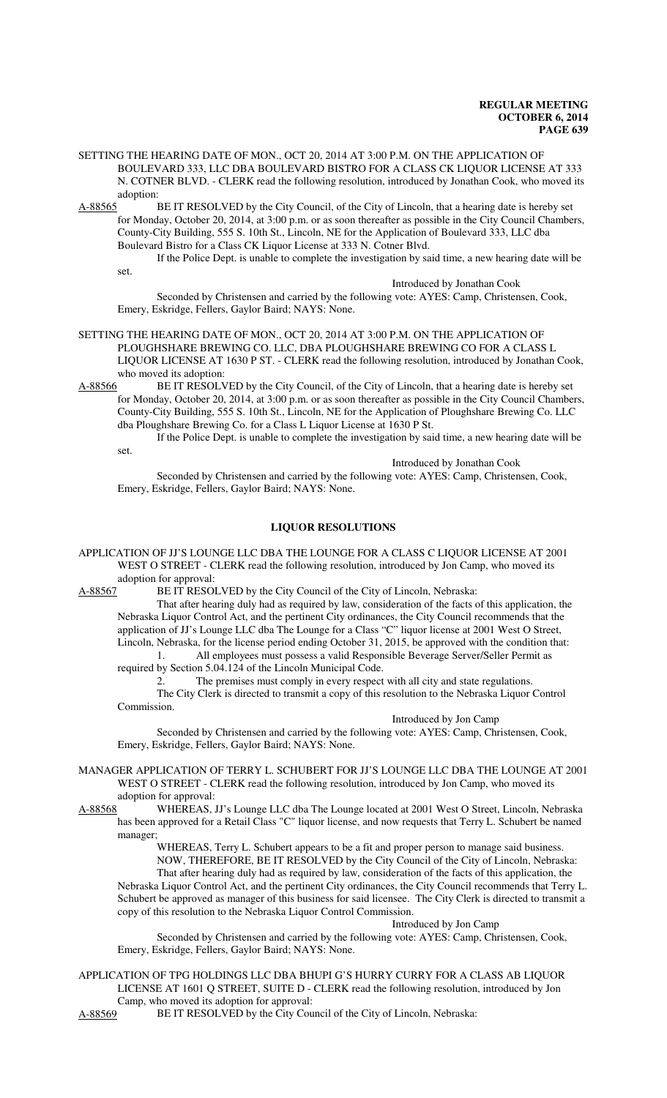- SETTING THE HEARING DATE OF MON., OCT 20, 2014 AT 3:00 P.M. ON THE APPLICATION OF BOULEVARD 333, LLC DBA BOULEVARD BISTRO FOR A CLASS CK LIQUOR LICENSE AT 333 N. COTNER BLVD. - CLERK read the following resolution, introduced by Jonathan Cook, who moved its adoption:
- A-88565 BE IT RESOLVED by the City Council, of the City of Lincoln, that a hearing date is hereby set for Monday, October 20, 2014, at 3:00 p.m. or as soon thereafter as possible in the City Council Chambers, County-City Building, 555 S. 10th St., Lincoln, NE for the Application of Boulevard 333, LLC dba Boulevard Bistro for a Class CK Liquor License at 333 N. Cotner Blvd.

If the Police Dept. is unable to complete the investigation by said time, a new hearing date will be

Introduced by Jonathan Cook

Seconded by Christensen and carried by the following vote: AYES: Camp, Christensen, Cook, Emery, Eskridge, Fellers, Gaylor Baird; NAYS: None.

- SETTING THE HEARING DATE OF MON., OCT 20, 2014 AT 3:00 P.M. ON THE APPLICATION OF PLOUGHSHARE BREWING CO. LLC, DBA PLOUGHSHARE BREWING CO FOR A CLASS L LIQUOR LICENSE AT 1630 P ST. - CLERK read the following resolution, introduced by Jonathan Cook, who moved its adoption:
- A-88566 BE IT RESOLVED by the City Council, of the City of Lincoln, that a hearing date is hereby set for Monday, October 20, 2014, at 3:00 p.m. or as soon thereafter as possible in the City Council Chambers, County-City Building, 555 S. 10th St., Lincoln, NE for the Application of Ploughshare Brewing Co. LLC dba Ploughshare Brewing Co. for a Class L Liquor License at 1630 P St.

If the Police Dept. is unable to complete the investigation by said time, a new hearing date will be set.

Introduced by Jonathan Cook

Seconded by Christensen and carried by the following vote: AYES: Camp, Christensen, Cook, Emery, Eskridge, Fellers, Gaylor Baird; NAYS: None.

### **LIQUOR RESOLUTIONS**

APPLICATION OF JJ'S LOUNGE LLC DBA THE LOUNGE FOR A CLASS C LIQUOR LICENSE AT 2001 WEST O STREET - CLERK read the following resolution, introduced by Jon Camp, who moved its adoption for approval:

A-88567 BE IT RESOLVED by the City Council of the City of Lincoln, Nebraska:

That after hearing duly had as required by law, consideration of the facts of this application, the Nebraska Liquor Control Act, and the pertinent City ordinances, the City Council recommends that the application of JJ's Lounge LLC dba The Lounge for a Class "C" liquor license at 2001 West O Street, Lincoln, Nebraska, for the license period ending October 31, 2015, be approved with the condition that:

1. All employees must possess a valid Responsible Beverage Server/Seller Permit as required by Section 5.04.124 of the Lincoln Municipal Code.

The premises must comply in every respect with all city and state regulations. The City Clerk is directed to transmit a copy of this resolution to the Nebraska Liquor Control Commission.

Introduced by Jon Camp

Seconded by Christensen and carried by the following vote: AYES: Camp, Christensen, Cook, Emery, Eskridge, Fellers, Gaylor Baird; NAYS: None.

MANAGER APPLICATION OF TERRY L. SCHUBERT FOR JJ'S LOUNGE LLC DBA THE LOUNGE AT 2001 WEST O STREET - CLERK read the following resolution, introduced by Jon Camp, who moved its adoption for approval:

set.

A-88568 WHEREAS, JJ's Lounge LLC dba The Lounge located at 2001 West O Street, Lincoln, Nebraska has been approved for a Retail Class "C" liquor license, and now requests that Terry L. Schubert be named manager;

> WHEREAS, Terry L. Schubert appears to be a fit and proper person to manage said business. NOW, THEREFORE, BE IT RESOLVED by the City Council of the City of Lincoln, Nebraska: That after hearing duly had as required by law, consideration of the facts of this application, the

Nebraska Liquor Control Act, and the pertinent City ordinances, the City Council recommends that Terry L. Schubert be approved as manager of this business for said licensee. The City Clerk is directed to transmit a copy of this resolution to the Nebraska Liquor Control Commission.

Introduced by Jon Camp

Seconded by Christensen and carried by the following vote: AYES: Camp, Christensen, Cook, Emery, Eskridge, Fellers, Gaylor Baird; NAYS: None.

APPLICATION OF TPG HOLDINGS LLC DBA BHUPI G'S HURRY CURRY FOR A CLASS AB LIQUOR LICENSE AT 1601 Q STREET, SUITE D - CLERK read the following resolution, introduced by Jon Camp, who moved its adoption for approval:

A-88569 BE IT RESOLVED by the City Council of the City of Lincoln, Nebraska: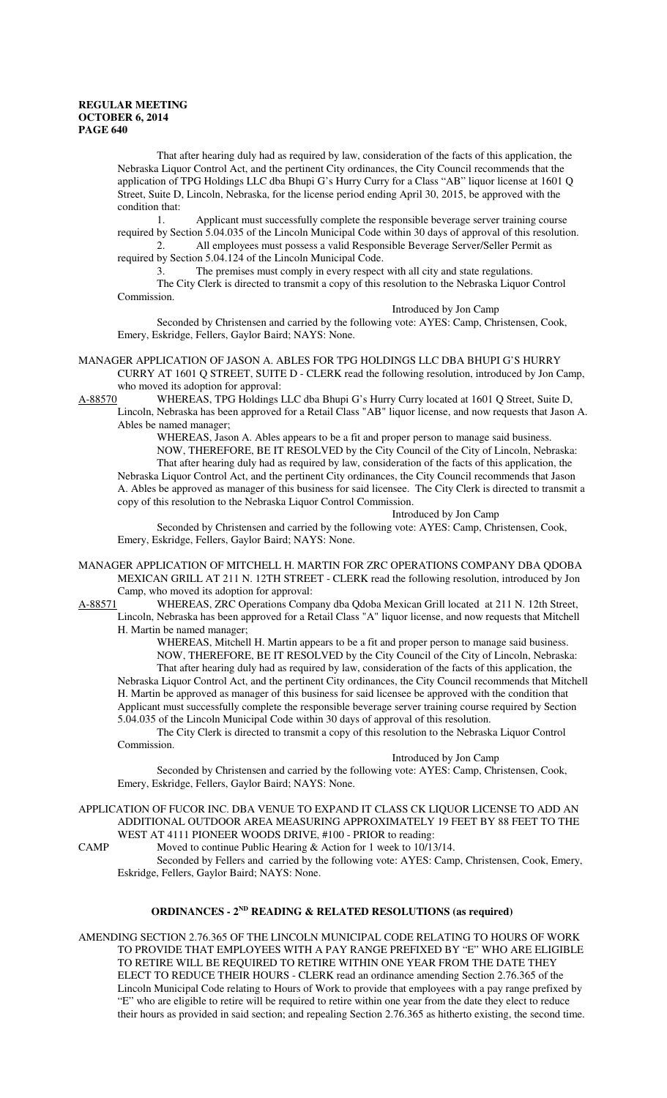That after hearing duly had as required by law, consideration of the facts of this application, the Nebraska Liquor Control Act, and the pertinent City ordinances, the City Council recommends that the application of TPG Holdings LLC dba Bhupi G's Hurry Curry for a Class "AB" liquor license at 1601 Q Street, Suite D, Lincoln, Nebraska, for the license period ending April 30, 2015, be approved with the condition that:

1. Applicant must successfully complete the responsible beverage server training course required by Section 5.04.035 of the Lincoln Municipal Code within 30 days of approval of this resolution. 2. All employees must possess a valid Responsible Beverage Server/Seller Permit as

required by Section 5.04.124 of the Lincoln Municipal Code.

3. The premises must comply in every respect with all city and state regulations.

The City Clerk is directed to transmit a copy of this resolution to the Nebraska Liquor Control Commission.

Introduced by Jon Camp

Seconded by Christensen and carried by the following vote: AYES: Camp, Christensen, Cook, Emery, Eskridge, Fellers, Gaylor Baird; NAYS: None.

MANAGER APPLICATION OF JASON A. ABLES FOR TPG HOLDINGS LLC DBA BHUPI G'S HURRY CURRY AT 1601 Q STREET, SUITE D - CLERK read the following resolution, introduced by Jon Camp, who moved its adoption for approval:<br>A-88570 WHEREAS, TPG Holdings I

WHEREAS, TPG Holdings LLC dba Bhupi G's Hurry Curry located at 1601 Q Street, Suite D, Lincoln, Nebraska has been approved for a Retail Class "AB" liquor license, and now requests that Jason A. Ables be named manager;

WHEREAS, Jason A. Ables appears to be a fit and proper person to manage said business. NOW, THEREFORE, BE IT RESOLVED by the City Council of the City of Lincoln, Nebraska: That after hearing duly had as required by law, consideration of the facts of this application, the Nebraska Liquor Control Act, and the pertinent City ordinances, the City Council recommends that Jason A. Ables be approved as manager of this business for said licensee. The City Clerk is directed to transmit a copy of this resolution to the Nebraska Liquor Control Commission.

Introduced by Jon Camp

Seconded by Christensen and carried by the following vote: AYES: Camp, Christensen, Cook, Emery, Eskridge, Fellers, Gaylor Baird; NAYS: None.

MANAGER APPLICATION OF MITCHELL H. MARTIN FOR ZRC OPERATIONS COMPANY DBA QDOBA MEXICAN GRILL AT 211 N. 12TH STREET - CLERK read the following resolution, introduced by Jon Camp, who moved its adoption for approval:

A-88571 WHEREAS, ZRC Operations Company dba Qdoba Mexican Grill located at 211 N. 12th Street, Lincoln, Nebraska has been approved for a Retail Class "A" liquor license, and now requests that Mitchell H. Martin be named manager;

WHEREAS, Mitchell H. Martin appears to be a fit and proper person to manage said business. NOW, THEREFORE, BE IT RESOLVED by the City Council of the City of Lincoln, Nebraska: That after hearing duly had as required by law, consideration of the facts of this application, the Nebraska Liquor Control Act, and the pertinent City ordinances, the City Council recommends that Mitchell

H. Martin be approved as manager of this business for said licensee be approved with the condition that Applicant must successfully complete the responsible beverage server training course required by Section 5.04.035 of the Lincoln Municipal Code within 30 days of approval of this resolution.

The City Clerk is directed to transmit a copy of this resolution to the Nebraska Liquor Control Commission.

### Introduced by Jon Camp

Seconded by Christensen and carried by the following vote: AYES: Camp, Christensen, Cook, Emery, Eskridge, Fellers, Gaylor Baird; NAYS: None.

APPLICATION OF FUCOR INC. DBA VENUE TO EXPAND IT CLASS CK LIQUOR LICENSE TO ADD AN ADDITIONAL OUTDOOR AREA MEASURING APPROXIMATELY 19 FEET BY 88 FEET TO THE WEST AT 4111 PIONEER WOODS DRIVE, #100 - PRIOR to reading:

CAMP Moved to continue Public Hearing & Action for 1 week to 10/13/14.

Seconded by Fellers and carried by the following vote: AYES: Camp, Christensen, Cook, Emery, Eskridge, Fellers, Gaylor Baird; NAYS: None.

## **ORDINANCES - 2ND READING & RELATED RESOLUTIONS (as required)**

AMENDING SECTION 2.76.365 OF THE LINCOLN MUNICIPAL CODE RELATING TO HOURS OF WORK TO PROVIDE THAT EMPLOYEES WITH A PAY RANGE PREFIXED BY "E" WHO ARE ELIGIBLE TO RETIRE WILL BE REQUIRED TO RETIRE WITHIN ONE YEAR FROM THE DATE THEY ELECT TO REDUCE THEIR HOURS - CLERK read an ordinance amending Section 2.76.365 of the Lincoln Municipal Code relating to Hours of Work to provide that employees with a pay range prefixed by "E" who are eligible to retire will be required to retire within one year from the date they elect to reduce their hours as provided in said section; and repealing Section 2.76.365 as hitherto existing, the second time.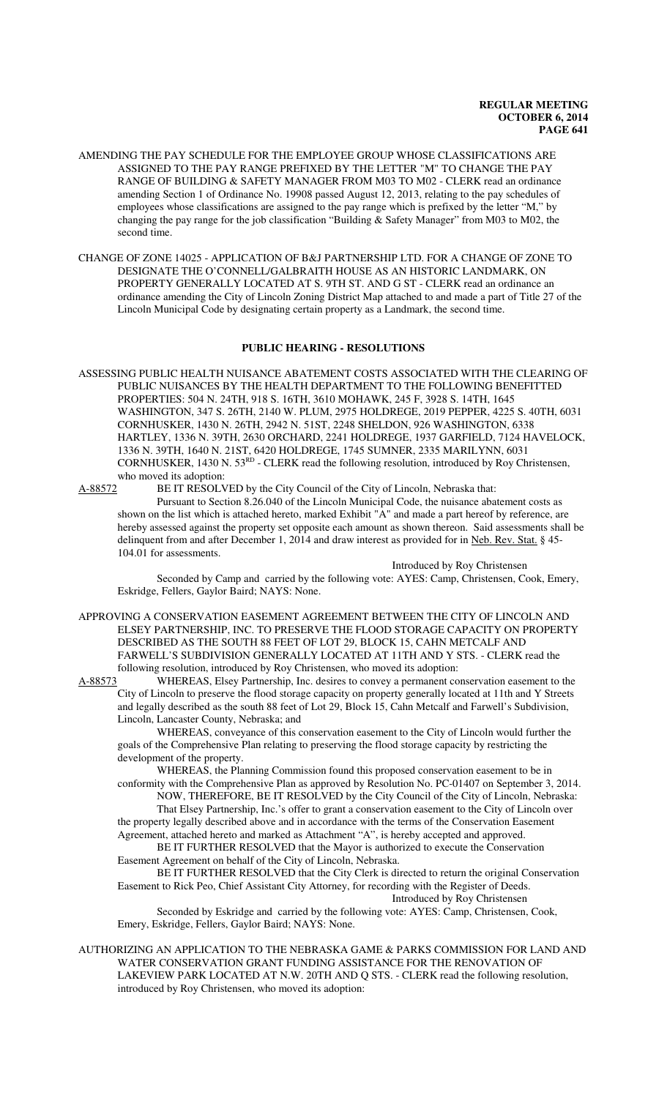- AMENDING THE PAY SCHEDULE FOR THE EMPLOYEE GROUP WHOSE CLASSIFICATIONS ARE ASSIGNED TO THE PAY RANGE PREFIXED BY THE LETTER "M" TO CHANGE THE PAY RANGE OF BUILDING & SAFETY MANAGER FROM M03 TO M02 - CLERK read an ordinance amending Section 1 of Ordinance No. 19908 passed August 12, 2013, relating to the pay schedules of employees whose classifications are assigned to the pay range which is prefixed by the letter "M," by changing the pay range for the job classification "Building & Safety Manager" from M03 to M02, the second time.
- CHANGE OF ZONE 14025 APPLICATION OF B&J PARTNERSHIP LTD. FOR A CHANGE OF ZONE TO DESIGNATE THE O'CONNELL/GALBRAITH HOUSE AS AN HISTORIC LANDMARK, ON PROPERTY GENERALLY LOCATED AT S. 9TH ST. AND G ST - CLERK read an ordinance an ordinance amending the City of Lincoln Zoning District Map attached to and made a part of Title 27 of the Lincoln Municipal Code by designating certain property as a Landmark, the second time.

### **PUBLIC HEARING - RESOLUTIONS**

ASSESSING PUBLIC HEALTH NUISANCE ABATEMENT COSTS ASSOCIATED WITH THE CLEARING OF PUBLIC NUISANCES BY THE HEALTH DEPARTMENT TO THE FOLLOWING BENEFITTED PROPERTIES: 504 N. 24TH, 918 S. 16TH, 3610 MOHAWK, 245 F, 3928 S. 14TH, 1645 WASHINGTON, 347 S. 26TH, 2140 W. PLUM, 2975 HOLDREGE, 2019 PEPPER, 4225 S. 40TH, 6031 CORNHUSKER, 1430 N. 26TH, 2942 N. 51ST, 2248 SHELDON, 926 WASHINGTON, 6338 HARTLEY, 1336 N. 39TH, 2630 ORCHARD, 2241 HOLDREGE, 1937 GARFIELD, 7124 HAVELOCK, 1336 N. 39TH, 1640 N. 21ST, 6420 HOLDREGE, 1745 SUMNER, 2335 MARILYNN, 6031 CORNHUSKER, 1430 N. 53RD - CLERK read the following resolution, introduced by Roy Christensen, who moved its adoption:<br>A-88572 BE IT RESOLV

BE IT RESOLVED by the City Council of the City of Lincoln, Nebraska that:

Pursuant to Section 8.26.040 of the Lincoln Municipal Code, the nuisance abatement costs as shown on the list which is attached hereto, marked Exhibit "A" and made a part hereof by reference, are hereby assessed against the property set opposite each amount as shown thereon. Said assessments shall be delinquent from and after December 1, 2014 and draw interest as provided for in Neb. Rev. Stat. § 45-104.01 for assessments.

Introduced by Roy Christensen

Seconded by Camp and carried by the following vote: AYES: Camp, Christensen, Cook, Emery, Eskridge, Fellers, Gaylor Baird; NAYS: None.

- APPROVING A CONSERVATION EASEMENT AGREEMENT BETWEEN THE CITY OF LINCOLN AND ELSEY PARTNERSHIP, INC. TO PRESERVE THE FLOOD STORAGE CAPACITY ON PROPERTY DESCRIBED AS THE SOUTH 88 FEET OF LOT 29, BLOCK 15, CAHN METCALF AND FARWELL'S SUBDIVISION GENERALLY LOCATED AT 11TH AND Y STS. - CLERK read the following resolution, introduced by Roy Christensen, who moved its adoption:
- A-88573 WHEREAS, Elsey Partnership, Inc. desires to convey a permanent conservation easement to the City of Lincoln to preserve the flood storage capacity on property generally located at 11th and Y Streets and legally described as the south 88 feet of Lot 29, Block 15, Cahn Metcalf and Farwell's Subdivision, Lincoln, Lancaster County, Nebraska; and

WHEREAS, conveyance of this conservation easement to the City of Lincoln would further the goals of the Comprehensive Plan relating to preserving the flood storage capacity by restricting the development of the property.

WHEREAS, the Planning Commission found this proposed conservation easement to be in conformity with the Comprehensive Plan as approved by Resolution No. PC-01407 on September 3, 2014.

NOW, THEREFORE, BE IT RESOLVED by the City Council of the City of Lincoln, Nebraska: That Elsey Partnership, Inc.'s offer to grant a conservation easement to the City of Lincoln over the property legally described above and in accordance with the terms of the Conservation Easement Agreement, attached hereto and marked as Attachment "A", is hereby accepted and approved.

BE IT FURTHER RESOLVED that the Mayor is authorized to execute the Conservation Easement Agreement on behalf of the City of Lincoln, Nebraska.

BE IT FURTHER RESOLVED that the City Clerk is directed to return the original Conservation Easement to Rick Peo, Chief Assistant City Attorney, for recording with the Register of Deeds. Introduced by Roy Christensen

Seconded by Eskridge and carried by the following vote: AYES: Camp, Christensen, Cook, Emery, Eskridge, Fellers, Gaylor Baird; NAYS: None.

AUTHORIZING AN APPLICATION TO THE NEBRASKA GAME & PARKS COMMISSION FOR LAND AND WATER CONSERVATION GRANT FUNDING ASSISTANCE FOR THE RENOVATION OF LAKEVIEW PARK LOCATED AT N.W. 20TH AND Q STS. - CLERK read the following resolution, introduced by Roy Christensen, who moved its adoption: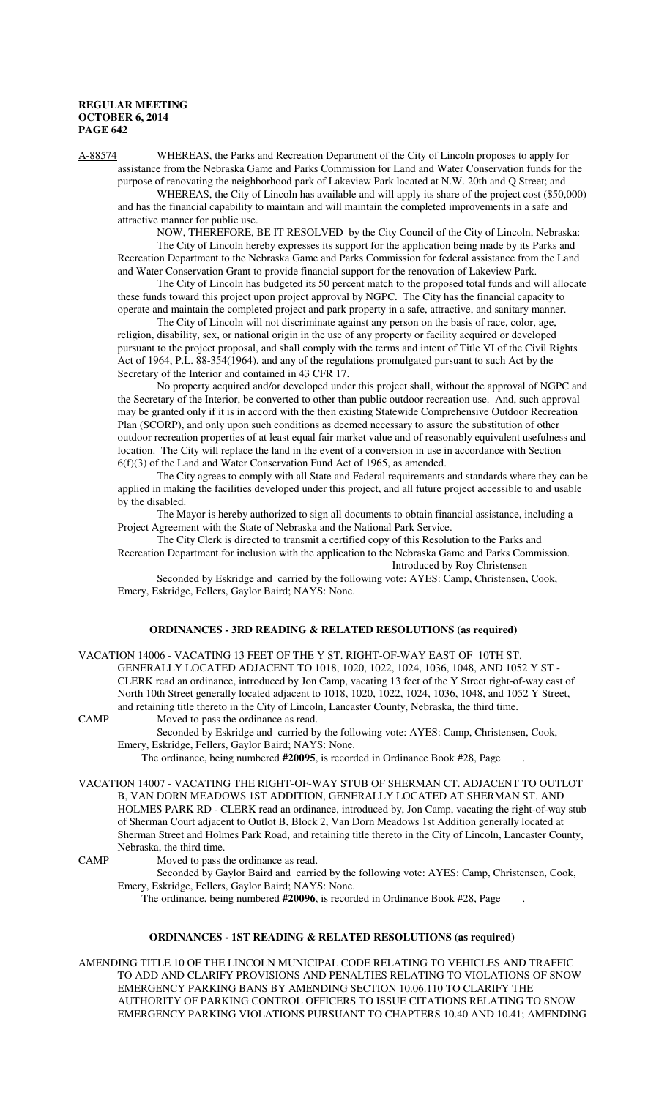A-88574 WHEREAS, the Parks and Recreation Department of the City of Lincoln proposes to apply for assistance from the Nebraska Game and Parks Commission for Land and Water Conservation funds for the purpose of renovating the neighborhood park of Lakeview Park located at N.W. 20th and Q Street; and

WHEREAS, the City of Lincoln has available and will apply its share of the project cost (\$50,000) and has the financial capability to maintain and will maintain the completed improvements in a safe and attractive manner for public use.

NOW, THEREFORE, BE IT RESOLVED by the City Council of the City of Lincoln, Nebraska: The City of Lincoln hereby expresses its support for the application being made by its Parks and Recreation Department to the Nebraska Game and Parks Commission for federal assistance from the Land and Water Conservation Grant to provide financial support for the renovation of Lakeview Park.

The City of Lincoln has budgeted its 50 percent match to the proposed total funds and will allocate these funds toward this project upon project approval by NGPC. The City has the financial capacity to operate and maintain the completed project and park property in a safe, attractive, and sanitary manner.

The City of Lincoln will not discriminate against any person on the basis of race, color, age, religion, disability, sex, or national origin in the use of any property or facility acquired or developed pursuant to the project proposal, and shall comply with the terms and intent of Title VI of the Civil Rights Act of 1964, P.L. 88-354(1964), and any of the regulations promulgated pursuant to such Act by the Secretary of the Interior and contained in 43 CFR 17.

No property acquired and/or developed under this project shall, without the approval of NGPC and the Secretary of the Interior, be converted to other than public outdoor recreation use. And, such approval may be granted only if it is in accord with the then existing Statewide Comprehensive Outdoor Recreation Plan (SCORP), and only upon such conditions as deemed necessary to assure the substitution of other outdoor recreation properties of at least equal fair market value and of reasonably equivalent usefulness and location. The City will replace the land in the event of a conversion in use in accordance with Section 6(f)(3) of the Land and Water Conservation Fund Act of 1965, as amended.

The City agrees to comply with all State and Federal requirements and standards where they can be applied in making the facilities developed under this project, and all future project accessible to and usable by the disabled.

The Mayor is hereby authorized to sign all documents to obtain financial assistance, including a Project Agreement with the State of Nebraska and the National Park Service.

The City Clerk is directed to transmit a certified copy of this Resolution to the Parks and Recreation Department for inclusion with the application to the Nebraska Game and Parks Commission. Introduced by Roy Christensen

Seconded by Eskridge and carried by the following vote: AYES: Camp, Christensen, Cook, Emery, Eskridge, Fellers, Gaylor Baird; NAYS: None.

### **ORDINANCES - 3RD READING & RELATED RESOLUTIONS (as required)**

VACATION 14006 - VACATING 13 FEET OF THE Y ST. RIGHT-OF-WAY EAST OF 10TH ST. GENERALLY LOCATED ADJACENT TO 1018, 1020, 1022, 1024, 1036, 1048, AND 1052 Y ST - CLERK read an ordinance, introduced by Jon Camp, vacating 13 feet of the Y Street right-of-way east of North 10th Street generally located adjacent to 1018, 1020, 1022, 1024, 1036, 1048, and 1052 Y Street, and retaining title thereto in the City of Lincoln, Lancaster County, Nebraska, the third time. CAMP Moved to pass the ordinance as read.

Seconded by Eskridge and carried by the following vote: AYES: Camp, Christensen, Cook, Emery, Eskridge, Fellers, Gaylor Baird; NAYS: None.

The ordinance, being numbered **#20095**, is recorded in Ordinance Book #28, Page .

VACATION 14007 - VACATING THE RIGHT-OF-WAY STUB OF SHERMAN CT. ADJACENT TO OUTLOT B, VAN DORN MEADOWS 1ST ADDITION, GENERALLY LOCATED AT SHERMAN ST. AND HOLMES PARK RD - CLERK read an ordinance, introduced by, Jon Camp, vacating the right-of-way stub of Sherman Court adjacent to Outlot B, Block 2, Van Dorn Meadows 1st Addition generally located at Sherman Street and Holmes Park Road, and retaining title thereto in the City of Lincoln, Lancaster County, Nebraska, the third time.

CAMP Moved to pass the ordinance as read.

Seconded by Gaylor Baird and carried by the following vote: AYES: Camp, Christensen, Cook, Emery, Eskridge, Fellers, Gaylor Baird; NAYS: None.

The ordinance, being numbered **#20096**, is recorded in Ordinance Book #28, Page .

#### **ORDINANCES - 1ST READING & RELATED RESOLUTIONS (as required)**

AMENDING TITLE 10 OF THE LINCOLN MUNICIPAL CODE RELATING TO VEHICLES AND TRAFFIC TO ADD AND CLARIFY PROVISIONS AND PENALTIES RELATING TO VIOLATIONS OF SNOW EMERGENCY PARKING BANS BY AMENDING SECTION 10.06.110 TO CLARIFY THE AUTHORITY OF PARKING CONTROL OFFICERS TO ISSUE CITATIONS RELATING TO SNOW EMERGENCY PARKING VIOLATIONS PURSUANT TO CHAPTERS 10.40 AND 10.41; AMENDING